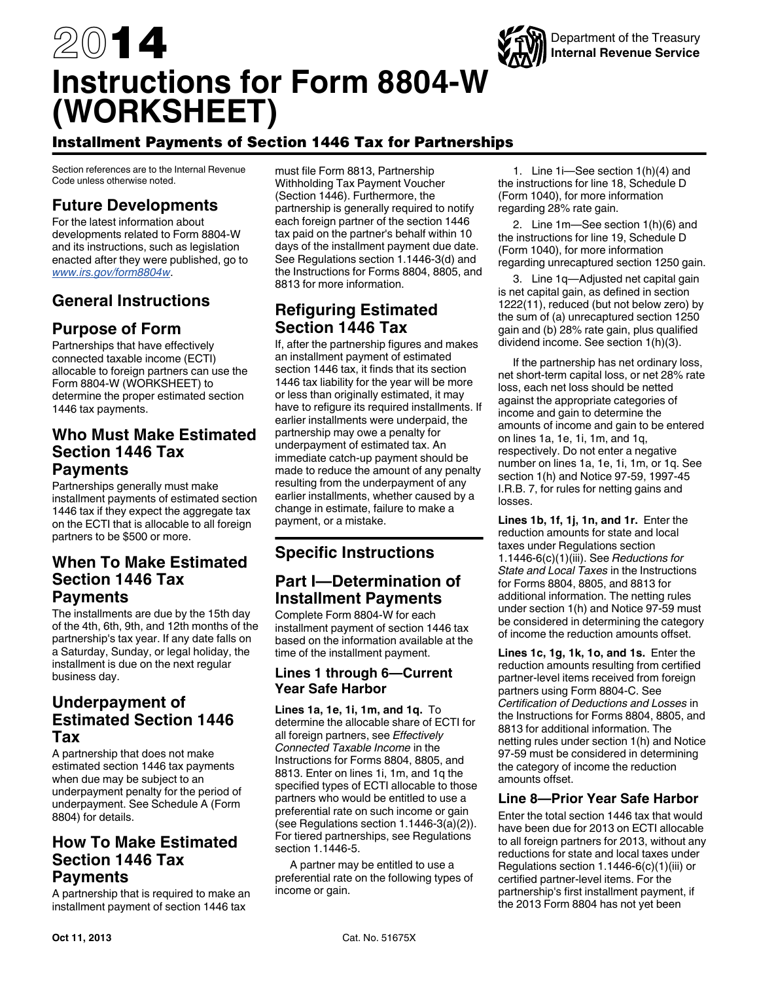

# 2014 **Instructions for Form 8804-W (WORKSHEET)**

# Installment Payments of Section 1446 Tax for Partnerships

Section references are to the Internal Revenue Code unless otherwise noted.

# **Future Developments**

For the latest information about developments related to Form 8804-W and its instructions, such as legislation enacted after they were published, go to *[www.irs.gov/form8804w](http://www.irs.gov/form8804w)*.

# **General Instructions**

# **Purpose of Form**

Partnerships that have effectively connected taxable income (ECTI) allocable to foreign partners can use the Form 8804-W (WORKSHEET) to determine the proper estimated section 1446 tax payments.

## **Who Must Make Estimated Section 1446 Tax Payments**

Partnerships generally must make installment payments of estimated section 1446 tax if they expect the aggregate tax on the ECTI that is allocable to all foreign partners to be \$500 or more.

# **When To Make Estimated Section 1446 Tax Payments**

The installments are due by the 15th day of the 4th, 6th, 9th, and 12th months of the partnership's tax year. If any date falls on a Saturday, Sunday, or legal holiday, the installment is due on the next regular business day.

# **Underpayment of Estimated Section 1446 Tax**

A partnership that does not make estimated section 1446 tax payments when due may be subject to an underpayment penalty for the period of underpayment. See Schedule A (Form 8804) for details.

# **How To Make Estimated Section 1446 Tax Payments**

A partnership that is required to make an installment payment of section 1446 tax

must file Form 8813, Partnership Withholding Tax Payment Voucher (Section 1446). Furthermore, the partnership is generally required to notify each foreign partner of the section 1446 tax paid on the partner's behalf within 10 days of the installment payment due date. See Regulations section 1.1446-3(d) and the Instructions for Forms 8804, 8805, and 8813 for more information.

# **Refiguring Estimated Section 1446 Tax**

If, after the partnership figures and makes an installment payment of estimated section 1446 tax, it finds that its section 1446 tax liability for the year will be more or less than originally estimated, it may have to refigure its required installments. If earlier installments were underpaid, the partnership may owe a penalty for underpayment of estimated tax. An immediate catch-up payment should be made to reduce the amount of any penalty resulting from the underpayment of any earlier installments, whether caused by a change in estimate, failure to make a payment, or a mistake.

# **Specific Instructions**

# **Part I—Determination of Installment Payments**

Complete Form 8804-W for each installment payment of section 1446 tax based on the information available at the time of the installment payment.

### **Lines 1 through 6—Current Year Safe Harbor**

**Lines 1a, 1e, 1i, 1m, and 1q.** To determine the allocable share of ECTI for all foreign partners, see *Effectively Connected Taxable Income* in the Instructions for Forms 8804, 8805, and 8813. Enter on lines 1i, 1m, and 1q the specified types of ECTI allocable to those partners who would be entitled to use a preferential rate on such income or gain (see Regulations section 1.1446-3(a)(2)). For tiered partnerships, see Regulations section 1.1446-5.

A partner may be entitled to use a preferential rate on the following types of income or gain.

1. Line 1i—See section 1(h)(4) and the instructions for line 18, Schedule D (Form 1040), for more information regarding 28% rate gain.

2. Line 1m—See section 1(h)(6) and the instructions for line 19, Schedule D (Form 1040), for more information regarding unrecaptured section 1250 gain.

3. Line 1q—Adjusted net capital gain is net capital gain, as defined in section 1222(11), reduced (but not below zero) by the sum of (a) unrecaptured section 1250 gain and (b) 28% rate gain, plus qualified dividend income. See section 1(h)(3).

If the partnership has net ordinary loss, net short-term capital loss, or net 28% rate loss, each net loss should be netted against the appropriate categories of income and gain to determine the amounts of income and gain to be entered on lines 1a, 1e, 1i, 1m, and 1q, respectively. Do not enter a negative number on lines 1a, 1e, 1i, 1m, or 1q. See section 1(h) and Notice 97-59, 1997-45 I.R.B. 7, for rules for netting gains and losses.

**Lines 1b, 1f, 1j, 1n, and 1r.** Enter the reduction amounts for state and local taxes under Regulations section 1.1446-6(c)(1)(iii). See *Reductions for State and Local Taxes* in the Instructions for Forms 8804, 8805, and 8813 for additional information. The netting rules under section 1(h) and Notice 97-59 must be considered in determining the category of income the reduction amounts offset.

**Lines 1c, 1g, 1k, 1o, and 1s.** Enter the reduction amounts resulting from certified partner-level items received from foreign partners using Form 8804-C. See *Certification of Deductions and Losses* in the Instructions for Forms 8804, 8805, and 8813 for additional information. The netting rules under section 1(h) and Notice 97-59 must be considered in determining the category of income the reduction amounts offset.

### **Line 8—Prior Year Safe Harbor**

Enter the total section 1446 tax that would have been due for 2013 on ECTI allocable to all foreign partners for 2013, without any reductions for state and local taxes under Regulations section 1.1446-6(c)(1)(iii) or certified partner-level items. For the partnership's first installment payment, if the 2013 Form 8804 has not yet been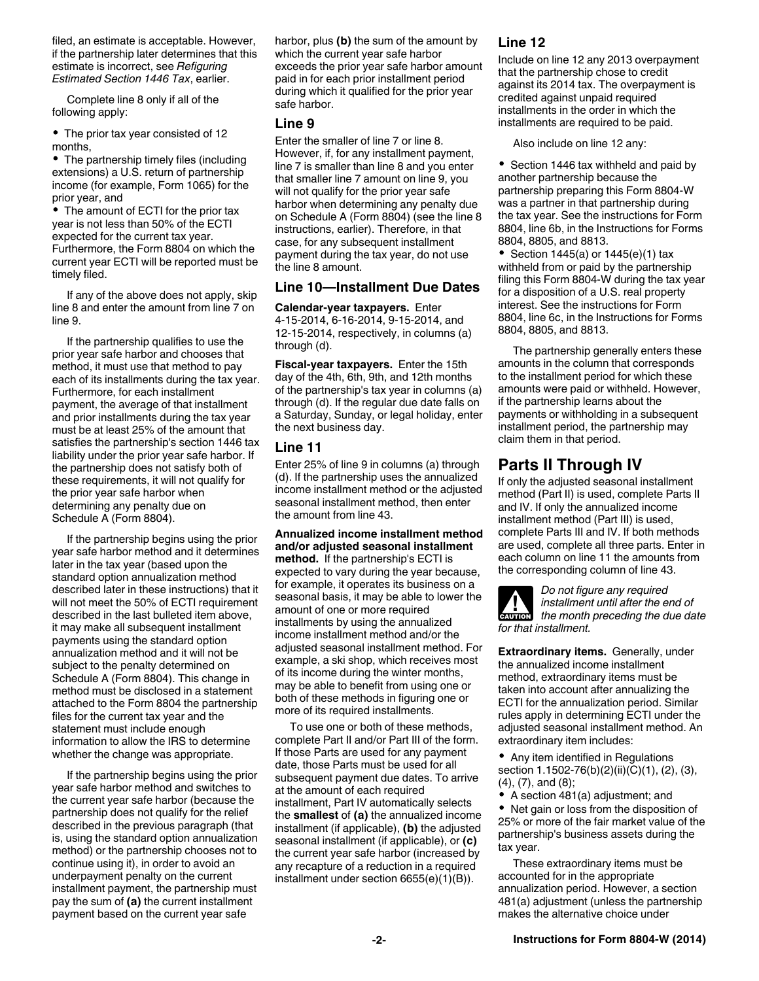filed, an estimate is acceptable. However, if the partnership later determines that this estimate is incorrect, see *Refiguring Estimated Section 1446 Tax*, earlier.

Complete line 8 only if all of the following apply:

The prior tax year consisted of 12 months,

• The partnership timely files (including extensions) a U.S. return of partnership income (for example, Form 1065) for the prior year, and

The amount of ECTI for the prior tax year is not less than 50% of the ECTI expected for the current tax year. Furthermore, the Form 8804 on which the current year ECTI will be reported must be timely filed.

If any of the above does not apply, skip line 8 and enter the amount from line 7 on line 9.

If the partnership qualifies to use the prior year safe harbor and chooses that method, it must use that method to pay each of its installments during the tax year. Furthermore, for each installment payment, the average of that installment and prior installments during the tax year must be at least 25% of the amount that satisfies the partnership's section 1446 tax liability under the prior year safe harbor. If the partnership does not satisfy both of these requirements, it will not qualify for the prior year safe harbor when determining any penalty due on Schedule A (Form 8804).

If the partnership begins using the prior year safe harbor method and it determines later in the tax year (based upon the standard option annualization method described later in these instructions) that it will not meet the 50% of ECTI requirement described in the last bulleted item above, it may make all subsequent installment payments using the standard option annualization method and it will not be subject to the penalty determined on Schedule A (Form 8804). This change in method must be disclosed in a statement attached to the Form 8804 the partnership files for the current tax year and the statement must include enough information to allow the IRS to determine whether the change was appropriate.

If the partnership begins using the prior year safe harbor method and switches to the current year safe harbor (because the partnership does not qualify for the relief described in the previous paragraph (that is, using the standard option annualization method) or the partnership chooses not to continue using it), in order to avoid an underpayment penalty on the current installment payment, the partnership must pay the sum of **(a)** the current installment payment based on the current year safe

harbor, plus **(b)** the sum of the amount by which the current year safe harbor exceeds the prior year safe harbor amount paid in for each prior installment period during which it qualified for the prior year safe harbor.

#### **Line 9**

Enter the smaller of line 7 or line 8. However, if, for any installment payment, line 7 is smaller than line 8 and you enter that smaller line 7 amount on line 9, you will not qualify for the prior year safe harbor when determining any penalty due on Schedule A (Form 8804) (see the line 8 instructions, earlier). Therefore, in that case, for any subsequent installment payment during the tax year, do not use the line 8 amount.

#### **Line 10—Installment Due Dates**

**Calendar-year taxpayers.** Enter 4-15-2014, 6-16-2014, 9-15-2014, and 12-15-2014, respectively, in columns (a) through (d).

**Fiscal-year taxpayers.** Enter the 15th day of the 4th, 6th, 9th, and 12th months of the partnership's tax year in columns (a) through (d). If the regular due date falls on a Saturday, Sunday, or legal holiday, enter the next business day.

#### **Line 11**

Enter 25% of line 9 in columns (a) through (d). If the partnership uses the annualized income installment method or the adjusted seasonal installment method, then enter the amount from line 43.

#### **Annualized income installment method and/or adjusted seasonal installment**

**method.** If the partnership's ECTI is expected to vary during the year because, for example, it operates its business on a seasonal basis, it may be able to lower the amount of one or more required installments by using the annualized income installment method and/or the adjusted seasonal installment method. For example, a ski shop, which receives most of its income during the winter months, may be able to benefit from using one or both of these methods in figuring one or more of its required installments.

To use one or both of these methods, complete Part II and/or Part III of the form. If those Parts are used for any payment date, those Parts must be used for all subsequent payment due dates. To arrive at the amount of each required installment, Part IV automatically selects the **smallest** of **(a)** the annualized income installment (if applicable), **(b)** the adjusted seasonal installment (if applicable), or **(c)**  the current year safe harbor (increased by any recapture of a reduction in a required installment under section 6655(e)(1)(B)).

### **Line 12**

Include on line 12 any 2013 overpayment that the partnership chose to credit against its 2014 tax. The overpayment is credited against unpaid required installments in the order in which the installments are required to be paid.

Also include on line 12 any:

• Section 1446 tax withheld and paid by another partnership because the partnership preparing this Form 8804-W was a partner in that partnership during the tax year. See the instructions for Form 8804, line 6b, in the Instructions for Forms 8804, 8805, and 8813.

• Section 1445(a) or  $1445(e)(1)$  tax withheld from or paid by the partnership filing this Form 8804-W during the tax year for a disposition of a U.S. real property interest. See the instructions for Form 8804, line 6c, in the Instructions for Forms 8804, 8805, and 8813.

The partnership generally enters these amounts in the column that corresponds to the installment period for which these amounts were paid or withheld. However, if the partnership learns about the payments or withholding in a subsequent installment period, the partnership may claim them in that period.

# **Parts II Through IV**

If only the adjusted seasonal installment method (Part II) is used, complete Parts II and IV. If only the annualized income installment method (Part III) is used, complete Parts III and IV. If both methods are used, complete all three parts. Enter in each column on line 11 the amounts from the corresponding column of line 43.



**Extraordinary items.** Generally, under the annualized income installment method, extraordinary items must be taken into account after annualizing the ECTI for the annualization period. Similar rules apply in determining ECTI under the adjusted seasonal installment method. An extraordinary item includes:

Any item identified in Regulations section 1.1502-76(b)(2)(ii)(C)(1), (2), (3), (4), (7), and (8);

A section 481(a) adjustment; and

Net gain or loss from the disposition of 25% or more of the fair market value of the partnership's business assets during the tax year.

These extraordinary items must be accounted for in the appropriate annualization period. However, a section 481(a) adjustment (unless the partnership makes the alternative choice under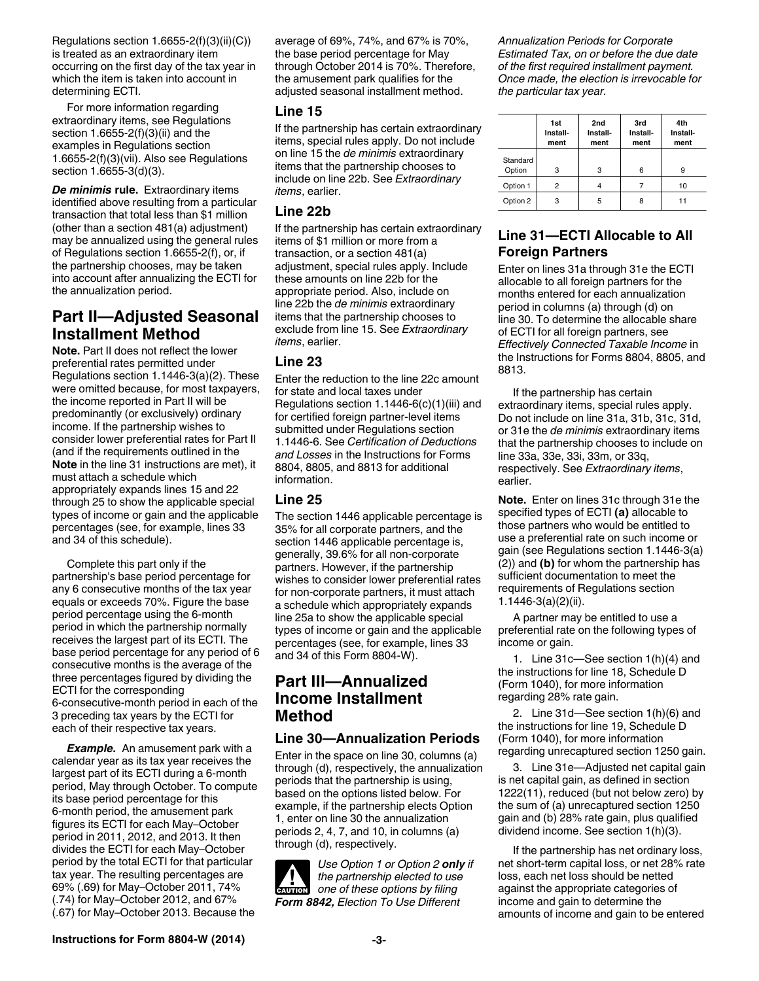Regulations section 1.6655-2(f)(3)(ii)(C)) is treated as an extraordinary item occurring on the first day of the tax year in which the item is taken into account in determining ECTI.

For more information regarding extraordinary items, see Regulations section 1.6655-2(f)(3)(ii) and the examples in Regulations section 1.6655-2(f)(3)(vii). Also see Regulations section 1.6655-3(d)(3).

*De minimis* **rule.** Extraordinary items identified above resulting from a particular transaction that total less than \$1 million (other than a section 481(a) adjustment) may be annualized using the general rules of Regulations section 1.6655-2(f), or, if the partnership chooses, may be taken into account after annualizing the ECTI for the annualization period.

# **Part II—Adjusted Seasonal Installment Method**

**Note.** Part II does not reflect the lower preferential rates permitted under Regulations section 1.1446-3(a)(2). These were omitted because, for most taxpayers, the income reported in Part II will be predominantly (or exclusively) ordinary income. If the partnership wishes to consider lower preferential rates for Part II (and if the requirements outlined in the **Note** in the line 31 instructions are met), it must attach a schedule which appropriately expands lines 15 and 22 through 25 to show the applicable special types of income or gain and the applicable percentages (see, for example, lines 33 and 34 of this schedule).

Complete this part only if the partnership's base period percentage for any 6 consecutive months of the tax year equals or exceeds 70%. Figure the base period percentage using the 6-month period in which the partnership normally receives the largest part of its ECTI. The base period percentage for any period of 6 consecutive months is the average of the three percentages figured by dividing the ECTI for the corresponding 6-consecutive-month period in each of the 3 preceding tax years by the ECTI for each of their respective tax years.

*Example.* An amusement park with a calendar year as its tax year receives the largest part of its ECTI during a 6-month period, May through October. To compute its base period percentage for this 6-month period, the amusement park figures its ECTI for each May–October period in 2011, 2012, and 2013. It then divides the ECTI for each May–October period by the total ECTI for that particular tax year. The resulting percentages are 69% (.69) for May–October 2011, 74% (.74) for May–October 2012, and 67% (.67) for May–October 2013. Because the

average of 69%, 74%, and 67% is 70%, the base period percentage for May through October 2014 is 70%. Therefore, the amusement park qualifies for the adiusted seasonal installment method.

#### **Line 15**

If the partnership has certain extraordinary items, special rules apply. Do not include on line 15 the *de minimis* extraordinary items that the partnership chooses to include on line 22b. See *Extraordinary items*, earlier.

### **Line 22b**

If the partnership has certain extraordinary items of \$1 million or more from a transaction, or a section 481(a) adjustment, special rules apply. Include these amounts on line 22b for the appropriate period. Also, include on line 22b the *de minimis* extraordinary items that the partnership chooses to exclude from line 15. See *Extraordinary items*, earlier.

### **Line 23**

Enter the reduction to the line 22c amount for state and local taxes under Regulations section 1.1446-6(c)(1)(iii) and for certified foreign partner-level items submitted under Regulations section 1.1446-6. See *Certification of Deductions and Losses* in the Instructions for Forms 8804, 8805, and 8813 for additional information.

### **Line 25**

The section 1446 applicable percentage is 35% for all corporate partners, and the section 1446 applicable percentage is, generally, 39.6% for all non-corporate partners. However, if the partnership wishes to consider lower preferential rates for non-corporate partners, it must attach a schedule which appropriately expands line 25a to show the applicable special types of income or gain and the applicable percentages (see, for example, lines 33 and 34 of this Form 8804-W).

# **Part III—Annualized Income Installment Method**

### **Line 30—Annualization Periods**

Enter in the space on line 30, columns (a) through (d), respectively, the annualization periods that the partnership is using, based on the options listed below. For example, if the partnership elects Option 1, enter on line 30 the annualization periods 2, 4, 7, and 10, in columns (a) through (d), respectively.

*Use Option 1 or Option 2 only if the partnership elected to use*  **cAUTION** the partnership elected to use<br>
one of these options by filing *Form 8842, Election To Use Different* 

*Annualization Periods for Corporate Estimated Tax, on or before the due date of the first required installment payment. Once made, the election is irrevocable for the particular tax year.*

|                    | 1st<br>Install-<br>ment | 2nd<br>Install-<br>ment | 3rd<br>Install-<br>ment | 4th<br>Install-<br>ment |
|--------------------|-------------------------|-------------------------|-------------------------|-------------------------|
| Standard<br>Option | 3                       | 3                       | 6                       | 9                       |
| Option 1           | 2                       | 4                       |                         | 10                      |
| Option 2           | 3                       | 5                       | 8                       | 11                      |

### **Line 31—ECTI Allocable to All Foreign Partners**

Enter on lines 31a through 31e the ECTI allocable to all foreign partners for the months entered for each annualization period in columns (a) through (d) on line 30. To determine the allocable share of ECTI for all foreign partners, see *Effectively Connected Taxable Income* in the Instructions for Forms 8804, 8805, and 8813.

If the partnership has certain extraordinary items, special rules apply. Do not include on line 31a, 31b, 31c, 31d, or 31e the *de minimis* extraordinary items that the partnership chooses to include on line 33a, 33e, 33i, 33m, or 33q, respectively. See *Extraordinary items*, earlier.

**Note.** Enter on lines 31c through 31e the specified types of ECTI **(a)** allocable to those partners who would be entitled to use a preferential rate on such income or gain (see Regulations section 1.1446-3(a) (2)) and **(b)** for whom the partnership has sufficient documentation to meet the requirements of Regulations section 1.1446-3(a)(2)(ii).

A partner may be entitled to use a preferential rate on the following types of income or gain.

1. Line 31c—See section 1(h)(4) and the instructions for line 18, Schedule D (Form 1040), for more information regarding 28% rate gain.

2. Line 31d—See section 1(h)(6) and the instructions for line 19, Schedule D (Form 1040), for more information regarding unrecaptured section 1250 gain.

3. Line 31e—Adjusted net capital gain is net capital gain, as defined in section 1222(11), reduced (but not below zero) by the sum of (a) unrecaptured section 1250 gain and (b) 28% rate gain, plus qualified dividend income. See section 1(h)(3).

If the partnership has net ordinary loss, net short-term capital loss, or net 28% rate loss, each net loss should be netted against the appropriate categories of income and gain to determine the amounts of income and gain to be entered